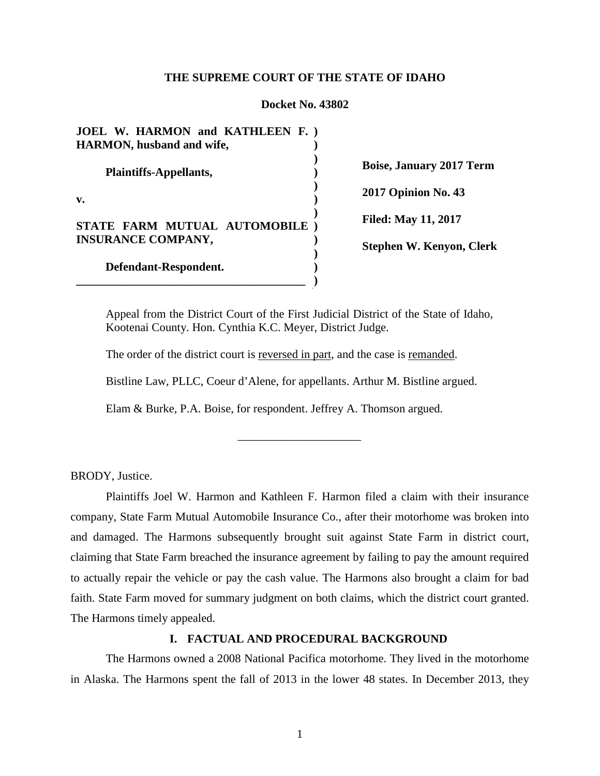#### **THE SUPREME COURT OF THE STATE OF IDAHO**

#### **Docket No. 43802**

**JOEL W. HARMON and KATHLEEN F. ) HARMON, husband and wife, Plaintiffs-Appellants, v. STATE FARM MUTUAL AUTOMOBILE ) INSURANCE COMPANY, Defendant-Respondent. \_\_\_\_\_\_\_\_\_\_\_\_\_\_\_\_\_\_\_\_\_\_\_\_\_\_\_\_\_\_\_\_\_\_\_\_\_\_\_ ) ) ) ) ) ) ) ) ) )**

**Boise, January 2017 Term 2017 Opinion No. 43 Filed: May 11, 2017 Stephen W. Kenyon, Clerk**

Appeal from the District Court of the First Judicial District of the State of Idaho, Kootenai County. Hon. Cynthia K.C. Meyer, District Judge.

The order of the district court is reversed in part, and the case is remanded.

Bistline Law, PLLC, Coeur d'Alene, for appellants. Arthur M. Bistline argued.

\_\_\_\_\_\_\_\_\_\_\_\_\_\_\_\_\_\_\_\_\_

Elam & Burke, P.A. Boise, for respondent. Jeffrey A. Thomson argued.

BRODY, Justice.

Plaintiffs Joel W. Harmon and Kathleen F. Harmon filed a claim with their insurance company, State Farm Mutual Automobile Insurance Co., after their motorhome was broken into and damaged. The Harmons subsequently brought suit against State Farm in district court, claiming that State Farm breached the insurance agreement by failing to pay the amount required to actually repair the vehicle or pay the cash value. The Harmons also brought a claim for bad faith. State Farm moved for summary judgment on both claims, which the district court granted. The Harmons timely appealed.

# **I. FACTUAL AND PROCEDURAL BACKGROUND**

The Harmons owned a 2008 National Pacifica motorhome. They lived in the motorhome in Alaska. The Harmons spent the fall of 2013 in the lower 48 states. In December 2013, they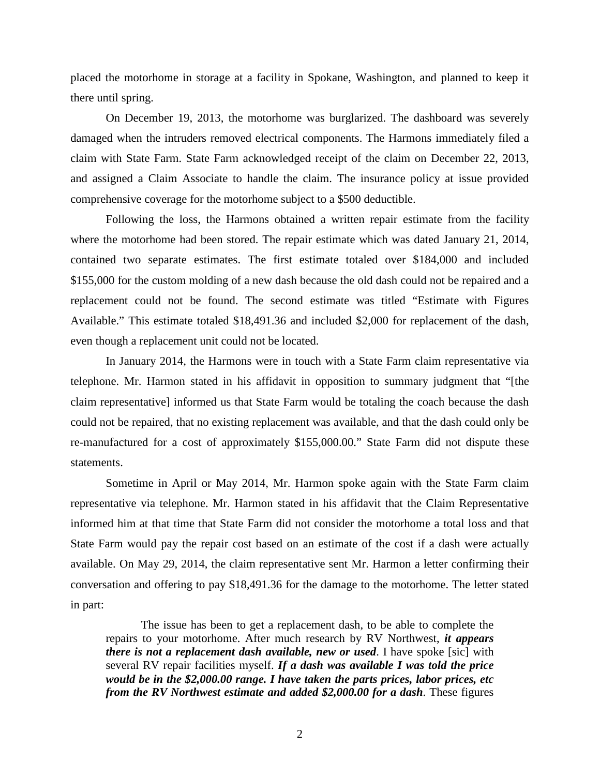placed the motorhome in storage at a facility in Spokane, Washington, and planned to keep it there until spring.

On December 19, 2013, the motorhome was burglarized. The dashboard was severely damaged when the intruders removed electrical components. The Harmons immediately filed a claim with State Farm. State Farm acknowledged receipt of the claim on December 22, 2013, and assigned a Claim Associate to handle the claim. The insurance policy at issue provided comprehensive coverage for the motorhome subject to a \$500 deductible.

Following the loss, the Harmons obtained a written repair estimate from the facility where the motorhome had been stored. The repair estimate which was dated January 21, 2014, contained two separate estimates. The first estimate totaled over \$184,000 and included \$155,000 for the custom molding of a new dash because the old dash could not be repaired and a replacement could not be found. The second estimate was titled "Estimate with Figures Available." This estimate totaled \$18,491.36 and included \$2,000 for replacement of the dash, even though a replacement unit could not be located.

In January 2014, the Harmons were in touch with a State Farm claim representative via telephone. Mr. Harmon stated in his affidavit in opposition to summary judgment that "[the claim representative] informed us that State Farm would be totaling the coach because the dash could not be repaired, that no existing replacement was available, and that the dash could only be re-manufactured for a cost of approximately \$155,000.00." State Farm did not dispute these statements.

Sometime in April or May 2014, Mr. Harmon spoke again with the State Farm claim representative via telephone. Mr. Harmon stated in his affidavit that the Claim Representative informed him at that time that State Farm did not consider the motorhome a total loss and that State Farm would pay the repair cost based on an estimate of the cost if a dash were actually available. On May 29, 2014, the claim representative sent Mr. Harmon a letter confirming their conversation and offering to pay \$18,491.36 for the damage to the motorhome. The letter stated in part:

The issue has been to get a replacement dash, to be able to complete the repairs to your motorhome. After much research by RV Northwest, *it appears there is not a replacement dash available, new or used.* I have spoke [sic] with several RV repair facilities myself. *If a dash was available I was told the price would be in the \$2,000.00 range. I have taken the parts prices, labor prices, etc from the RV Northwest estimate and added \$2,000.00 for a dash*. These figures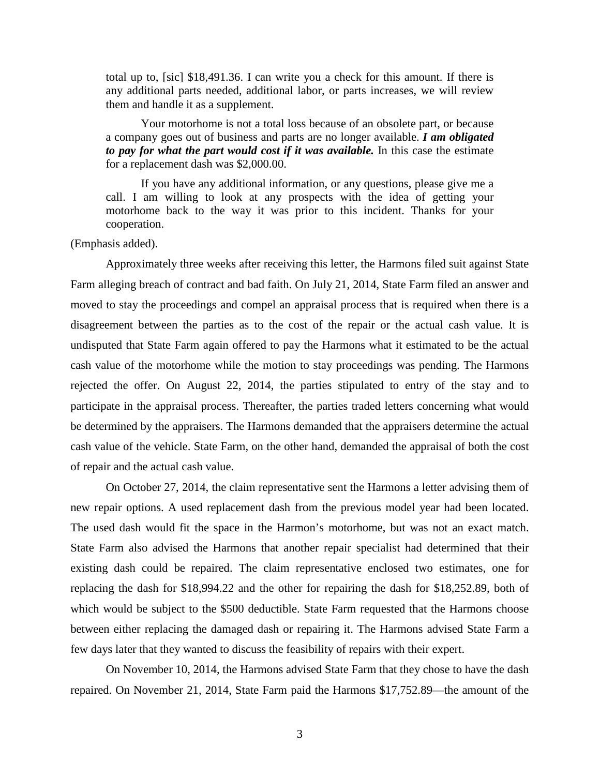total up to, [sic] \$18,491.36. I can write you a check for this amount. If there is any additional parts needed, additional labor, or parts increases, we will review them and handle it as a supplement.

Your motorhome is not a total loss because of an obsolete part, or because a company goes out of business and parts are no longer available. *I am obligated to pay for what the part would cost if it was available.* In this case the estimate for a replacement dash was \$2,000.00.

If you have any additional information, or any questions, please give me a call. I am willing to look at any prospects with the idea of getting your motorhome back to the way it was prior to this incident. Thanks for your cooperation.

(Emphasis added).

Approximately three weeks after receiving this letter, the Harmons filed suit against State Farm alleging breach of contract and bad faith. On July 21, 2014, State Farm filed an answer and moved to stay the proceedings and compel an appraisal process that is required when there is a disagreement between the parties as to the cost of the repair or the actual cash value. It is undisputed that State Farm again offered to pay the Harmons what it estimated to be the actual cash value of the motorhome while the motion to stay proceedings was pending. The Harmons rejected the offer. On August 22, 2014, the parties stipulated to entry of the stay and to participate in the appraisal process. Thereafter, the parties traded letters concerning what would be determined by the appraisers. The Harmons demanded that the appraisers determine the actual cash value of the vehicle. State Farm, on the other hand, demanded the appraisal of both the cost of repair and the actual cash value.

On October 27, 2014, the claim representative sent the Harmons a letter advising them of new repair options. A used replacement dash from the previous model year had been located. The used dash would fit the space in the Harmon's motorhome, but was not an exact match. State Farm also advised the Harmons that another repair specialist had determined that their existing dash could be repaired. The claim representative enclosed two estimates, one for replacing the dash for \$18,994.22 and the other for repairing the dash for \$18,252.89, both of which would be subject to the \$500 deductible. State Farm requested that the Harmons choose between either replacing the damaged dash or repairing it. The Harmons advised State Farm a few days later that they wanted to discuss the feasibility of repairs with their expert.

On November 10, 2014, the Harmons advised State Farm that they chose to have the dash repaired. On November 21, 2014, State Farm paid the Harmons \$17,752.89—the amount of the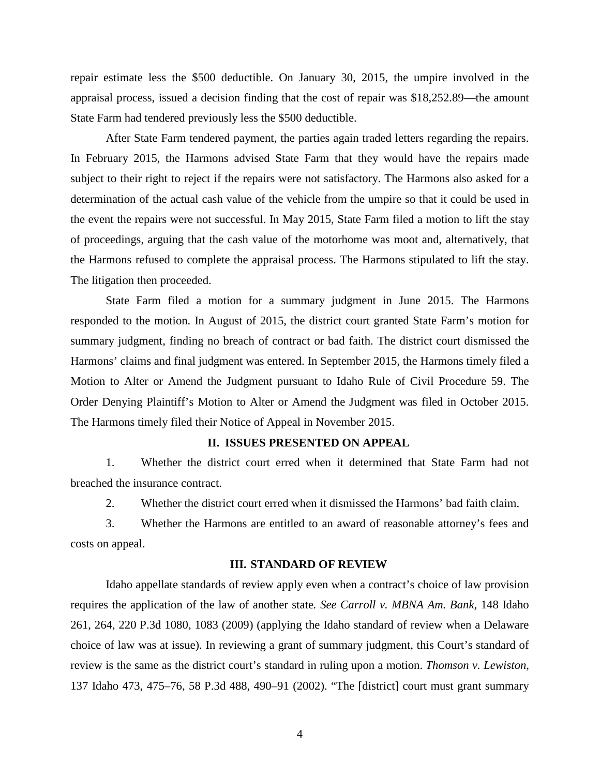repair estimate less the \$500 deductible. On January 30, 2015, the umpire involved in the appraisal process, issued a decision finding that the cost of repair was \$18,252.89—the amount State Farm had tendered previously less the \$500 deductible.

After State Farm tendered payment, the parties again traded letters regarding the repairs. In February 2015, the Harmons advised State Farm that they would have the repairs made subject to their right to reject if the repairs were not satisfactory. The Harmons also asked for a determination of the actual cash value of the vehicle from the umpire so that it could be used in the event the repairs were not successful. In May 2015, State Farm filed a motion to lift the stay of proceedings, arguing that the cash value of the motorhome was moot and, alternatively, that the Harmons refused to complete the appraisal process. The Harmons stipulated to lift the stay. The litigation then proceeded.

State Farm filed a motion for a summary judgment in June 2015. The Harmons responded to the motion. In August of 2015, the district court granted State Farm's motion for summary judgment, finding no breach of contract or bad faith. The district court dismissed the Harmons' claims and final judgment was entered. In September 2015, the Harmons timely filed a Motion to Alter or Amend the Judgment pursuant to Idaho Rule of Civil Procedure 59. The Order Denying Plaintiff's Motion to Alter or Amend the Judgment was filed in October 2015. The Harmons timely filed their Notice of Appeal in November 2015.

### **II. ISSUES PRESENTED ON APPEAL**

1. Whether the district court erred when it determined that State Farm had not breached the insurance contract.

2. Whether the district court erred when it dismissed the Harmons' bad faith claim.

3. Whether the Harmons are entitled to an award of reasonable attorney's fees and costs on appeal.

#### **III. STANDARD OF REVIEW**

Idaho appellate standards of review apply even when a contract's choice of law provision requires the application of the law of another state*. See Carroll v. MBNA Am. Bank*, 148 Idaho 261, 264, 220 P.3d 1080, 1083 (2009) (applying the Idaho standard of review when a Delaware choice of law was at issue). In reviewing a grant of summary judgment, this Court's standard of review is the same as the district court's standard in ruling upon a motion. *Thomson v. Lewiston*, 137 Idaho 473, 475–76, 58 P.3d 488, 490–91 (2002). "The [district] court must grant summary

4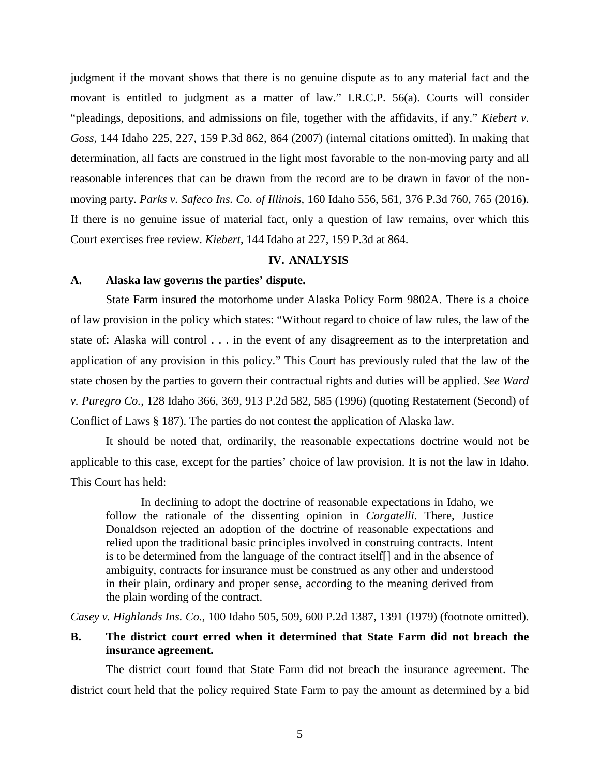judgment if the movant shows that there is no genuine dispute as to any material fact and the movant is entitled to judgment as a matter of law." I.R.C.P. 56(a). Courts will consider "pleadings, depositions, and admissions on file, together with the affidavits, if any." *Kiebert v. Goss*, 144 Idaho 225, 227, 159 P.3d 862, 864 (2007) (internal citations omitted). In making that determination, all facts are construed in the light most favorable to the non-moving party and all reasonable inferences that can be drawn from the record are to be drawn in favor of the nonmoving party. *Parks v. Safeco Ins. Co. of Illinois*, 160 Idaho 556, 561, 376 P.3d 760, 765 (2016). If there is no genuine issue of material fact, only a question of law remains, over which this Court exercises free review. *Kiebert*, 144 Idaho at 227, 159 P.3d at 864.

## **IV. ANALYSIS**

### **A. Alaska law governs the parties' dispute.**

State Farm insured the motorhome under Alaska Policy Form 9802A. There is a choice of law provision in the policy which states: "Without regard to choice of law rules, the law of the state of: Alaska will control . . . in the event of any disagreement as to the interpretation and application of any provision in this policy." This Court has previously ruled that the law of the state chosen by the parties to govern their contractual rights and duties will be applied. *See Ward v. Puregro Co.*, 128 Idaho 366, 369, 913 P.2d 582, 585 (1996) (quoting Restatement (Second) of Conflict of Laws § 187). The parties do not contest the application of Alaska law.

It should be noted that, ordinarily, the reasonable expectations doctrine would not be applicable to this case, except for the parties' choice of law provision. It is not the law in Idaho. This Court has held:

In declining to adopt the doctrine of reasonable expectations in Idaho, we follow the rationale of the dissenting opinion in *Corgatelli*. There, Justice Donaldson rejected an adoption of the doctrine of reasonable expectations and relied upon the traditional basic principles involved in construing contracts. Intent is to be determined from the language of the contract itself[] and in the absence of ambiguity, contracts for insurance must be construed as any other and understood in their plain, ordinary and proper sense, according to the meaning derived from the plain wording of the contract.

*Casey v. Highlands Ins. Co.*, 100 Idaho 505, 509, 600 P.2d 1387, 1391 (1979) (footnote omitted).

# **B. The district court erred when it determined that State Farm did not breach the insurance agreement.**

The district court found that State Farm did not breach the insurance agreement. The district court held that the policy required State Farm to pay the amount as determined by a bid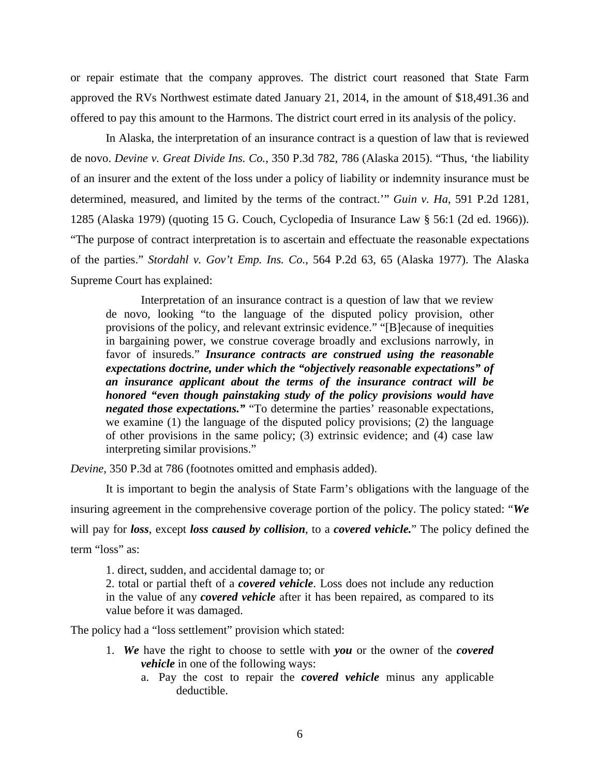or repair estimate that the company approves. The district court reasoned that State Farm approved the RVs Northwest estimate dated January 21, 2014, in the amount of \$18,491.36 and offered to pay this amount to the Harmons. The district court erred in its analysis of the policy.

In Alaska, the interpretation of an insurance contract is a question of law that is reviewed de novo. *Devine v. Great Divide Ins. Co.*, 350 P.3d 782, 786 (Alaska 2015). "Thus, 'the liability of an insurer and the extent of the loss under a policy of liability or indemnity insurance must be determined, measured, and limited by the terms of the contract.'" *Guin v. Ha*, 591 P.2d 1281, 1285 (Alaska 1979) (quoting 15 G. Couch, Cyclopedia of Insurance Law § 56:1 (2d ed. 1966)). "The purpose of contract interpretation is to ascertain and effectuate the reasonable expectations of the parties." *Stordahl v. Gov't Emp. Ins. Co.*, 564 P.2d 63, 65 (Alaska 1977). The Alaska Supreme Court has explained:

Interpretation of an insurance contract is a question of law that we review de novo, looking "to the language of the disputed policy provision, other provisions of the policy, and relevant extrinsic evidence." "[B]ecause of inequities in bargaining power, we construe coverage broadly and exclusions narrowly, in favor of insureds." *Insurance contracts are construed using the reasonable expectations doctrine, under which the "objectively reasonable expectations" of an insurance applicant about the terms of the insurance contract will be honored "even though painstaking study of the policy provisions would have negated those expectations.*" "To determine the parties' reasonable expectations, we examine (1) the language of the disputed policy provisions; (2) the language of other provisions in the same policy; (3) extrinsic evidence; and (4) case law interpreting similar provisions."

*Devine*, 350 P.3d at 786 (footnotes omitted and emphasis added).

It is important to begin the analysis of State Farm's obligations with the language of the insuring agreement in the comprehensive coverage portion of the policy. The policy stated: "*We* will pay for *loss*, except *loss caused by collision*, to a *covered vehicle.*" The policy defined the term "loss" as:

1. direct, sudden, and accidental damage to; or

2. total or partial theft of a *covered vehicle*. Loss does not include any reduction in the value of any *covered vehicle* after it has been repaired, as compared to its value before it was damaged.

The policy had a "loss settlement" provision which stated:

- 1. *We* have the right to choose to settle with *you* or the owner of the *covered vehicle* in one of the following ways:
	- a. Pay the cost to repair the *covered vehicle* minus any applicable deductible.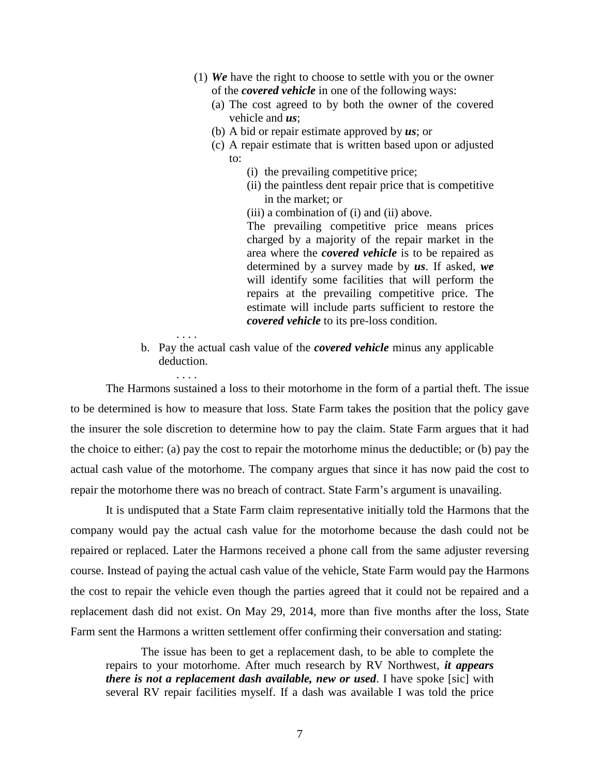- (1) *We* have the right to choose to settle with you or the owner of the *covered vehicle* in one of the following ways:
	- (a) The cost agreed to by both the owner of the covered vehicle and *us*;
	- (b) A bid or repair estimate approved by *us*; or
	- (c) A repair estimate that is written based upon or adjusted to:
		- (i) the prevailing competitive price;
		- (ii) the paintless dent repair price that is competitive in the market; or
		- (iii) a combination of (i) and (ii) above.

The prevailing competitive price means prices charged by a majority of the repair market in the area where the *covered vehicle* is to be repaired as determined by a survey made by *us*. If asked, *we* will identify some facilities that will perform the repairs at the prevailing competitive price. The estimate will include parts sufficient to restore the *covered vehicle* to its pre-loss condition.

b. Pay the actual cash value of the *covered vehicle* minus any applicable deduction.

The Harmons sustained a loss to their motorhome in the form of a partial theft. The issue to be determined is how to measure that loss. State Farm takes the position that the policy gave the insurer the sole discretion to determine how to pay the claim. State Farm argues that it had the choice to either: (a) pay the cost to repair the motorhome minus the deductible; or (b) pay the actual cash value of the motorhome. The company argues that since it has now paid the cost to repair the motorhome there was no breach of contract. State Farm's argument is unavailing.

. . . .

It is undisputed that a State Farm claim representative initially told the Harmons that the company would pay the actual cash value for the motorhome because the dash could not be repaired or replaced. Later the Harmons received a phone call from the same adjuster reversing course. Instead of paying the actual cash value of the vehicle, State Farm would pay the Harmons the cost to repair the vehicle even though the parties agreed that it could not be repaired and a replacement dash did not exist. On May 29, 2014, more than five months after the loss, State Farm sent the Harmons a written settlement offer confirming their conversation and stating:

The issue has been to get a replacement dash, to be able to complete the repairs to your motorhome. After much research by RV Northwest, *it appears there is not a replacement dash available, new or used*. I have spoke [sic] with several RV repair facilities myself. If a dash was available I was told the price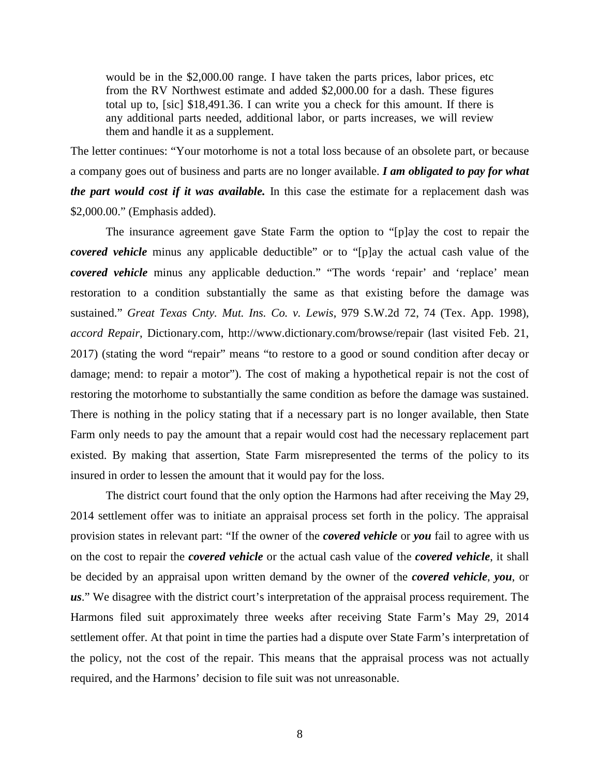would be in the \$2,000.00 range. I have taken the parts prices, labor prices, etc from the RV Northwest estimate and added \$2,000.00 for a dash. These figures total up to, [sic] \$18,491.36. I can write you a check for this amount. If there is any additional parts needed, additional labor, or parts increases, we will review them and handle it as a supplement.

The letter continues: "Your motorhome is not a total loss because of an obsolete part, or because a company goes out of business and parts are no longer available. *I am obligated to pay for what the part would cost if it was available.* In this case the estimate for a replacement dash was \$2,000.00." (Emphasis added).

The insurance agreement gave State Farm the option to "[p]ay the cost to repair the *covered vehicle* minus any applicable deductible" or to "[p]ay the actual cash value of the *covered vehicle* minus any applicable deduction." "The words 'repair' and 'replace' mean restoration to a condition substantially the same as that existing before the damage was sustained." *Great Texas Cnty. Mut. Ins. Co. v. Lewis*, 979 S.W.2d 72, 74 (Tex. App. 1998), *accord Repair*, Dictionary.com, http://www.dictionary.com/browse/repair (last visited Feb. 21, 2017) (stating the word "repair" means "to restore to a good or sound condition after decay or damage; mend: to repair a motor"). The cost of making a hypothetical repair is not the cost of restoring the motorhome to substantially the same condition as before the damage was sustained. There is nothing in the policy stating that if a necessary part is no longer available, then State Farm only needs to pay the amount that a repair would cost had the necessary replacement part existed. By making that assertion, State Farm misrepresented the terms of the policy to its insured in order to lessen the amount that it would pay for the loss.

The district court found that the only option the Harmons had after receiving the May 29, 2014 settlement offer was to initiate an appraisal process set forth in the policy. The appraisal provision states in relevant part: "If the owner of the *covered vehicle* or *you* fail to agree with us on the cost to repair the *covered vehicle* or the actual cash value of the *covered vehicle*, it shall be decided by an appraisal upon written demand by the owner of the *covered vehicle*, *you*, or *us*." We disagree with the district court's interpretation of the appraisal process requirement. The Harmons filed suit approximately three weeks after receiving State Farm's May 29, 2014 settlement offer. At that point in time the parties had a dispute over State Farm's interpretation of the policy, not the cost of the repair. This means that the appraisal process was not actually required, and the Harmons' decision to file suit was not unreasonable.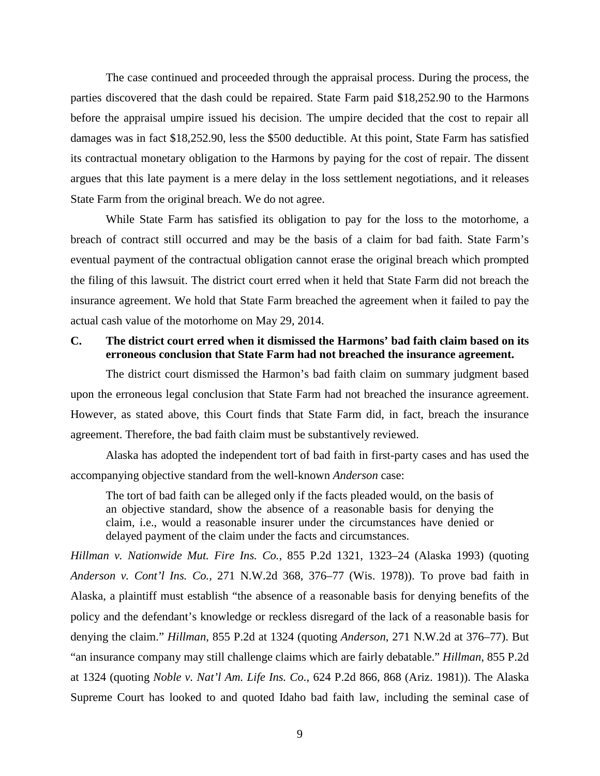The case continued and proceeded through the appraisal process. During the process, the parties discovered that the dash could be repaired. State Farm paid \$18,252.90 to the Harmons before the appraisal umpire issued his decision. The umpire decided that the cost to repair all damages was in fact \$18,252.90, less the \$500 deductible. At this point, State Farm has satisfied its contractual monetary obligation to the Harmons by paying for the cost of repair. The dissent argues that this late payment is a mere delay in the loss settlement negotiations, and it releases State Farm from the original breach. We do not agree.

While State Farm has satisfied its obligation to pay for the loss to the motorhome, a breach of contract still occurred and may be the basis of a claim for bad faith. State Farm's eventual payment of the contractual obligation cannot erase the original breach which prompted the filing of this lawsuit. The district court erred when it held that State Farm did not breach the insurance agreement. We hold that State Farm breached the agreement when it failed to pay the actual cash value of the motorhome on May 29, 2014.

# **C. The district court erred when it dismissed the Harmons' bad faith claim based on its erroneous conclusion that State Farm had not breached the insurance agreement.**

The district court dismissed the Harmon's bad faith claim on summary judgment based upon the erroneous legal conclusion that State Farm had not breached the insurance agreement. However, as stated above, this Court finds that State Farm did, in fact, breach the insurance agreement. Therefore, the bad faith claim must be substantively reviewed.

Alaska has adopted the independent tort of bad faith in first-party cases and has used the accompanying objective standard from the well-known *Anderson* case:

The tort of bad faith can be alleged only if the facts pleaded would, on the basis of an objective standard, show the absence of a reasonable basis for denying the claim, i.e., would a reasonable insurer under the circumstances have denied or delayed payment of the claim under the facts and circumstances.

*Hillman v. Nationwide Mut. Fire Ins. Co.*, 855 P.2d 1321, 1323–24 (Alaska 1993) (quoting *Anderson v. Cont'l Ins. Co.*, 271 N.W.2d 368, 376–77 (Wis. 1978)). To prove bad faith in Alaska, a plaintiff must establish "the absence of a reasonable basis for denying benefits of the policy and the defendant's knowledge or reckless disregard of the lack of a reasonable basis for denying the claim." *Hillman*, 855 P.2d at 1324 (quoting *Anderson*, 271 N.W.2d at 376–77). But "an insurance company may still challenge claims which are fairly debatable." *Hillman*, 855 P.2d at 1324 (quoting *Noble v. Nat'l Am. Life Ins. Co.*, 624 P.2d 866, 868 (Ariz. 1981)). The Alaska Supreme Court has looked to and quoted Idaho bad faith law, including the seminal case of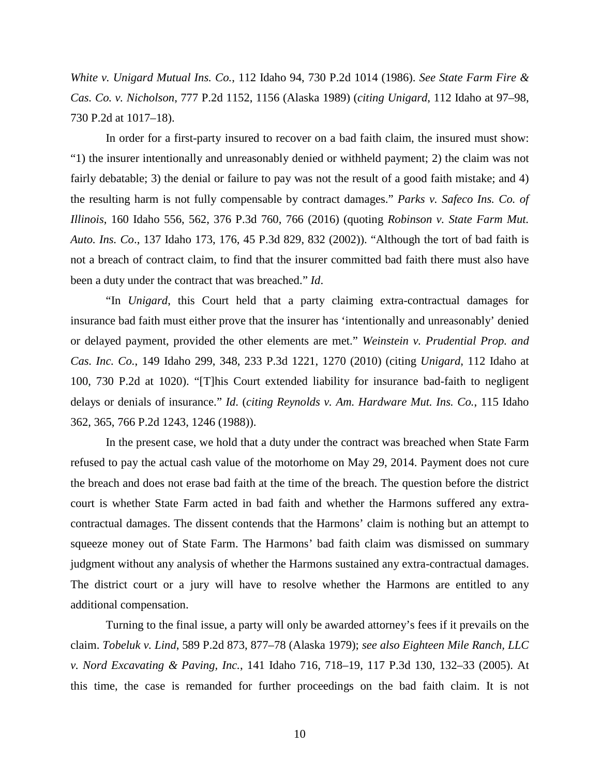*White v. Unigard Mutual Ins. Co.*, 112 Idaho 94, 730 P.2d 1014 (1986). *See State Farm Fire & Cas. Co. v. Nicholson*, 777 P.2d 1152, 1156 (Alaska 1989) (*citing Unigard*, 112 Idaho at 97–98, 730 P.2d at 1017–18).

In order for a first-party insured to recover on a bad faith claim, the insured must show: "1) the insurer intentionally and unreasonably denied or withheld payment; 2) the claim was not fairly debatable; 3) the denial or failure to pay was not the result of a good faith mistake; and 4) the resulting harm is not fully compensable by contract damages." *Parks v. Safeco Ins. Co. of Illinois*, 160 Idaho 556, 562, 376 P.3d 760, 766 (2016) (quoting *Robinson v. State Farm Mut. Auto. Ins. Co*., 137 Idaho 173, 176, 45 P.3d 829, 832 (2002)). "Although the tort of bad faith is not a breach of contract claim, to find that the insurer committed bad faith there must also have been a duty under the contract that was breached." *Id*.

"In *Unigard*, this Court held that a party claiming extra-contractual damages for insurance bad faith must either prove that the insurer has 'intentionally and unreasonably' denied or delayed payment, provided the other elements are met." *Weinstein v. Prudential Prop. and Cas. Inc. Co.*, 149 Idaho 299, 348, 233 P.3d 1221, 1270 (2010) (citing *Unigard*, 112 Idaho at 100, 730 P.2d at 1020). "[T]his Court extended liability for insurance bad-faith to negligent delays or denials of insurance." *Id*. (*citing Reynolds v. Am. Hardware Mut. Ins. Co.*, 115 Idaho 362, 365, 766 P.2d 1243, 1246 (1988)).

In the present case, we hold that a duty under the contract was breached when State Farm refused to pay the actual cash value of the motorhome on May 29, 2014. Payment does not cure the breach and does not erase bad faith at the time of the breach. The question before the district court is whether State Farm acted in bad faith and whether the Harmons suffered any extracontractual damages. The dissent contends that the Harmons' claim is nothing but an attempt to squeeze money out of State Farm. The Harmons' bad faith claim was dismissed on summary judgment without any analysis of whether the Harmons sustained any extra-contractual damages. The district court or a jury will have to resolve whether the Harmons are entitled to any additional compensation.

Turning to the final issue, a party will only be awarded attorney's fees if it prevails on the claim. *Tobeluk v. Lind*, 589 P.2d 873, 877–78 (Alaska 1979); *see also Eighteen Mile Ranch, LLC v. Nord Excavating & Paving, Inc.*, 141 Idaho 716, 718–19, 117 P.3d 130, 132–33 (2005). At this time, the case is remanded for further proceedings on the bad faith claim. It is not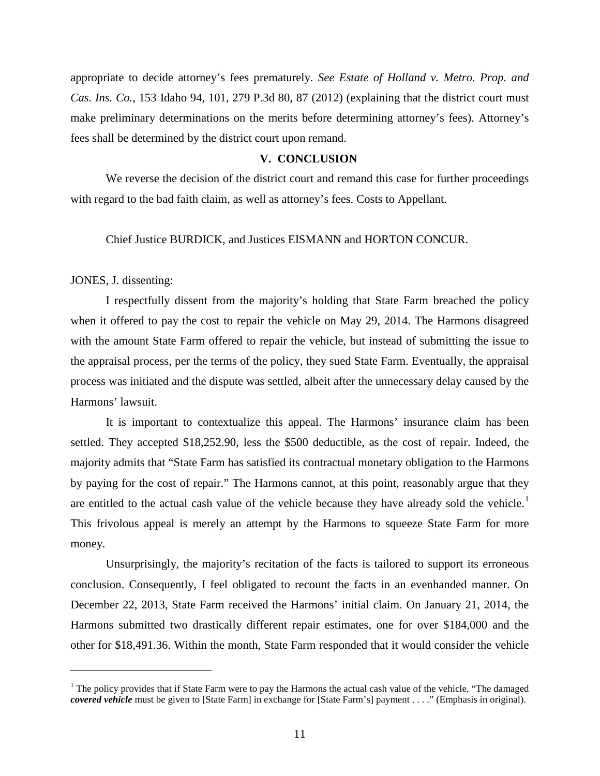appropriate to decide attorney's fees prematurely. *See Estate of Holland v. Metro. Prop. and Cas. Ins. Co.*, 153 Idaho 94, 101, 279 P.3d 80, 87 (2012) (explaining that the district court must make preliminary determinations on the merits before determining attorney's fees). Attorney's fees shall be determined by the district court upon remand.

### **V. CONCLUSION**

We reverse the decision of the district court and remand this case for further proceedings with regard to the bad faith claim, as well as attorney's fees. Costs to Appellant.

### Chief Justice BURDICK, and Justices EISMANN and HORTON CONCUR.

# JONES, J. dissenting:

 $\overline{a}$ 

I respectfully dissent from the majority's holding that State Farm breached the policy when it offered to pay the cost to repair the vehicle on May 29, 2014. The Harmons disagreed with the amount State Farm offered to repair the vehicle, but instead of submitting the issue to the appraisal process, per the terms of the policy, they sued State Farm. Eventually, the appraisal process was initiated and the dispute was settled, albeit after the unnecessary delay caused by the Harmons' lawsuit.

It is important to contextualize this appeal. The Harmons' insurance claim has been settled. They accepted \$18,252.90, less the \$500 deductible, as the cost of repair. Indeed, the majority admits that "State Farm has satisfied its contractual monetary obligation to the Harmons by paying for the cost of repair." The Harmons cannot, at this point, reasonably argue that they are entitled to the actual cash value of the vehicle because they have already sold the vehicle.<sup>[1](#page-10-0)</sup> This frivolous appeal is merely an attempt by the Harmons to squeeze State Farm for more money.

Unsurprisingly, the majority's recitation of the facts is tailored to support its erroneous conclusion. Consequently, I feel obligated to recount the facts in an evenhanded manner. On December 22, 2013, State Farm received the Harmons' initial claim. On January 21, 2014, the Harmons submitted two drastically different repair estimates, one for over \$184,000 and the other for \$18,491.36. Within the month, State Farm responded that it would consider the vehicle

<span id="page-10-0"></span><sup>&</sup>lt;sup>1</sup> The policy provides that if State Farm were to pay the Harmons the actual cash value of the vehicle, "The damaged" *covered vehicle* must be given to [State Farm] in exchange for [State Farm's] payment . . . ." (Emphasis in original).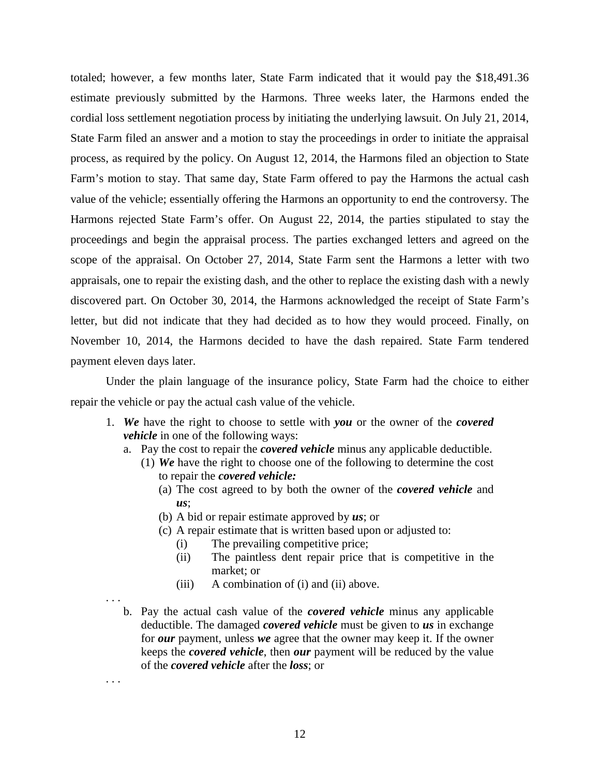totaled; however, a few months later, State Farm indicated that it would pay the \$18,491.36 estimate previously submitted by the Harmons. Three weeks later, the Harmons ended the cordial loss settlement negotiation process by initiating the underlying lawsuit. On July 21, 2014, State Farm filed an answer and a motion to stay the proceedings in order to initiate the appraisal process, as required by the policy. On August 12, 2014, the Harmons filed an objection to State Farm's motion to stay. That same day, State Farm offered to pay the Harmons the actual cash value of the vehicle; essentially offering the Harmons an opportunity to end the controversy. The Harmons rejected State Farm's offer. On August 22, 2014, the parties stipulated to stay the proceedings and begin the appraisal process. The parties exchanged letters and agreed on the scope of the appraisal. On October 27, 2014, State Farm sent the Harmons a letter with two appraisals, one to repair the existing dash, and the other to replace the existing dash with a newly discovered part. On October 30, 2014, the Harmons acknowledged the receipt of State Farm's letter, but did not indicate that they had decided as to how they would proceed. Finally, on November 10, 2014, the Harmons decided to have the dash repaired. State Farm tendered payment eleven days later.

Under the plain language of the insurance policy, State Farm had the choice to either repair the vehicle or pay the actual cash value of the vehicle.

- 1. *We* have the right to choose to settle with *you* or the owner of the *covered vehicle* in one of the following ways:
	- a. Pay the cost to repair the *covered vehicle* minus any applicable deductible.
		- (1) *We* have the right to choose one of the following to determine the cost to repair the *covered vehicle:* 
			- (a) The cost agreed to by both the owner of the *covered vehicle* and *us*;
			- (b) A bid or repair estimate approved by *us*; or
			- (c) A repair estimate that is written based upon or adjusted to:
				- (i) The prevailing competitive price;
				- (ii) The paintless dent repair price that is competitive in the market; or
				- (iii) A combination of (i) and (ii) above.

. . .

. . . b. Pay the actual cash value of the *covered vehicle* minus any applicable deductible. The damaged *covered vehicle* must be given to *us* in exchange for *our* payment, unless *we* agree that the owner may keep it. If the owner keeps the *covered vehicle*, then *our* payment will be reduced by the value of the *covered vehicle* after the *loss*; or

12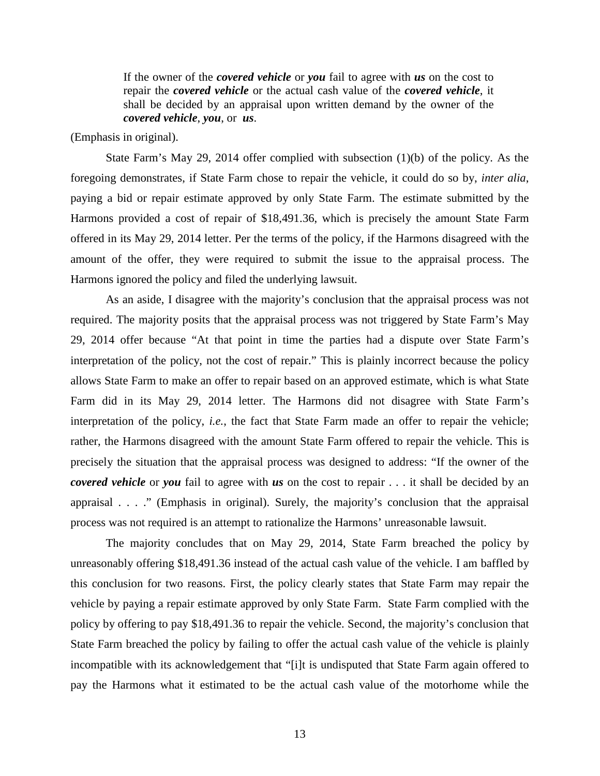If the owner of the *covered vehicle* or *you* fail to agree with *us* on the cost to repair the *covered vehicle* or the actual cash value of the *covered vehicle*, it shall be decided by an appraisal upon written demand by the owner of the *covered vehicle*, *you*, or *us*.

(Emphasis in original).

State Farm's May 29, 2014 offer complied with subsection (1)(b) of the policy. As the foregoing demonstrates, if State Farm chose to repair the vehicle, it could do so by, *inter alia*, paying a bid or repair estimate approved by only State Farm. The estimate submitted by the Harmons provided a cost of repair of \$18,491.36, which is precisely the amount State Farm offered in its May 29, 2014 letter. Per the terms of the policy, if the Harmons disagreed with the amount of the offer, they were required to submit the issue to the appraisal process. The Harmons ignored the policy and filed the underlying lawsuit.

As an aside, I disagree with the majority's conclusion that the appraisal process was not required. The majority posits that the appraisal process was not triggered by State Farm's May 29, 2014 offer because "At that point in time the parties had a dispute over State Farm's interpretation of the policy, not the cost of repair." This is plainly incorrect because the policy allows State Farm to make an offer to repair based on an approved estimate, which is what State Farm did in its May 29, 2014 letter. The Harmons did not disagree with State Farm's interpretation of the policy, *i.e.*, the fact that State Farm made an offer to repair the vehicle; rather, the Harmons disagreed with the amount State Farm offered to repair the vehicle. This is precisely the situation that the appraisal process was designed to address: "If the owner of the *covered vehicle* or *you* fail to agree with *us* on the cost to repair . . . it shall be decided by an appraisal . . . ." (Emphasis in original). Surely, the majority's conclusion that the appraisal process was not required is an attempt to rationalize the Harmons' unreasonable lawsuit.

The majority concludes that on May 29, 2014, State Farm breached the policy by unreasonably offering \$18,491.36 instead of the actual cash value of the vehicle. I am baffled by this conclusion for two reasons. First, the policy clearly states that State Farm may repair the vehicle by paying a repair estimate approved by only State Farm. State Farm complied with the policy by offering to pay \$18,491.36 to repair the vehicle. Second, the majority's conclusion that State Farm breached the policy by failing to offer the actual cash value of the vehicle is plainly incompatible with its acknowledgement that "[i]t is undisputed that State Farm again offered to pay the Harmons what it estimated to be the actual cash value of the motorhome while the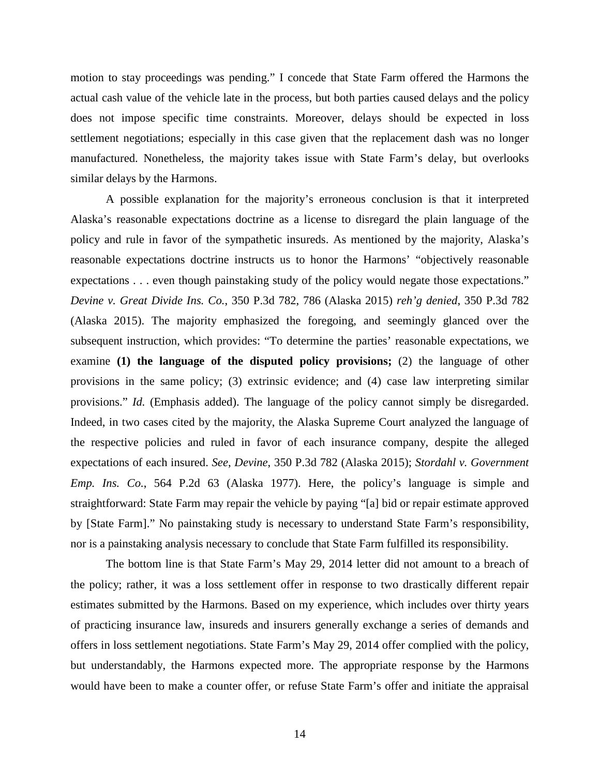motion to stay proceedings was pending." I concede that State Farm offered the Harmons the actual cash value of the vehicle late in the process, but both parties caused delays and the policy does not impose specific time constraints. Moreover, delays should be expected in loss settlement negotiations; especially in this case given that the replacement dash was no longer manufactured. Nonetheless, the majority takes issue with State Farm's delay, but overlooks similar delays by the Harmons.

A possible explanation for the majority's erroneous conclusion is that it interpreted Alaska's reasonable expectations doctrine as a license to disregard the plain language of the policy and rule in favor of the sympathetic insureds. As mentioned by the majority, Alaska's reasonable expectations doctrine instructs us to honor the Harmons' "objectively reasonable expectations . . . even though painstaking study of the policy would negate those expectations." *Devine v. Great Divide Ins. Co.*, 350 P.3d 782, 786 (Alaska 2015) *reh'g denied*, 350 P.3d 782 (Alaska 2015). The majority emphasized the foregoing, and seemingly glanced over the subsequent instruction, which provides: "To determine the parties' reasonable expectations, we examine **(1) the language of the disputed policy provisions;** (2) the language of other provisions in the same policy; (3) extrinsic evidence; and (4) case law interpreting similar provisions." *Id.* (Emphasis added). The language of the policy cannot simply be disregarded. Indeed, in two cases cited by the majority, the Alaska Supreme Court analyzed the language of the respective policies and ruled in favor of each insurance company, despite the alleged expectations of each insured. *See*, *Devine*, 350 P.3d 782 (Alaska 2015); *Stordahl v. Government Emp. Ins. Co.*, 564 P.2d 63 (Alaska 1977). Here, the policy's language is simple and straightforward: State Farm may repair the vehicle by paying "[a] bid or repair estimate approved by [State Farm]." No painstaking study is necessary to understand State Farm's responsibility, nor is a painstaking analysis necessary to conclude that State Farm fulfilled its responsibility.

The bottom line is that State Farm's May 29, 2014 letter did not amount to a breach of the policy; rather, it was a loss settlement offer in response to two drastically different repair estimates submitted by the Harmons. Based on my experience, which includes over thirty years of practicing insurance law, insureds and insurers generally exchange a series of demands and offers in loss settlement negotiations. State Farm's May 29, 2014 offer complied with the policy, but understandably, the Harmons expected more. The appropriate response by the Harmons would have been to make a counter offer, or refuse State Farm's offer and initiate the appraisal